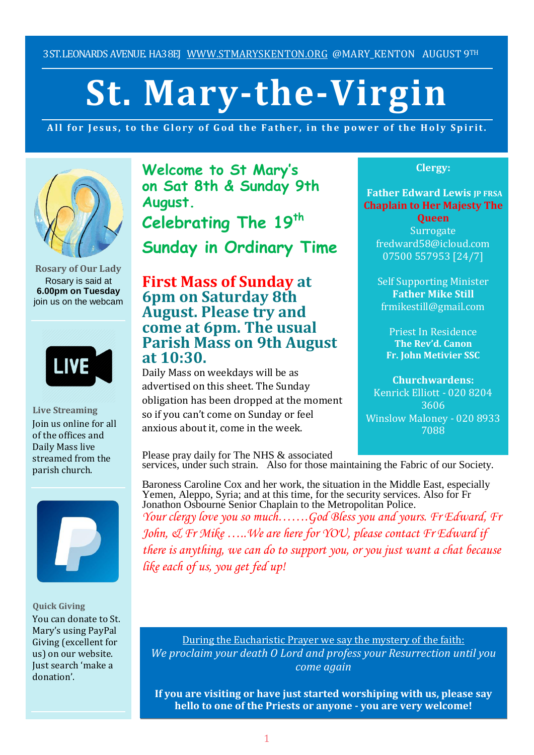3ST.LEONARDS AVENUE. HA38EJ [WWW.STMARYSKENTON.ORG](http://www.stmaryskenton.org/) @MARY KENTON AUGUST 9TH

# **St. Mary-the-Virgin**

All for Jesus, to the Glory of God the Father, in the power of the Holy Spirit.



**Rosary of Our Lady** Rosary is said at **6.00pm on Tuesday** join us on the webcam



**Live Streaming** Join us online for all of the offices and Daily Mass live streamed from the parish church.



**Quick Giving** You can donate to St. Mary's using PayPal Giving (excellent for us) on our website. Just search 'make a donation'.

**Welcome to St Mary's on Sat 8th & Sunday 9th August. Celebrating The 19th Sunday in Ordinary Time**

# **First Mass of Sunday at 6pm on Saturday 8th August. Please try and come at 6pm. The usual Parish Mass on 9th August at 10:30.**

Daily Mass on weekdays will be as advertised on this sheet. The Sunday obligation has been dropped at the moment so if you can't come on Sunday or feel anxious about it, come in the week.

**Clergy:**

**Father Edward Lewis IP FRSA Chaplain to Her Majesty The**

**Queen Surrogate** fredward58@icloud.com 07500 557953 [24/7]

Self Supporting Minister **Father Mike Still** frmikestill@gmail.com

Priest In Residence **The Rev'd. Canon Fr. John Metivier SSC**

**Churchwardens:** Kenrick Elliott - 020 8204 3606 Winslow Maloney - 020 8933 7088

Please pray daily for The NHS & associated services, under such strain. Also for those maintaining the Fabric of our Society. *Please let Fr. Edward know ilg the rabite of our society.* 

Baroness Caroline Cox and her work, the situation in the Middle East, especially Yemen, Aleppo, Syria; and at this time, for the security services. Also for Fr Jonathon Osbourne Senior Chaplain to the Metropolitan Police.

*Your clergy love you so much…….God Bless you and yours. Fr Edward, Fr John, & Fr Mike …..We are here for YOU, please contact Fr Edward if there is anything, we can do to support you, or you just want a chat because like each of us, you get fed up!*

During the Eucharistic Prayer we say the mystery of the faith: *We proclaim your death O Lord and profess your Resurrection until you come again*

**If you are visiting or have just started worshiping with us, please say hello to one of the Priests or anyone - you are very welcome!**